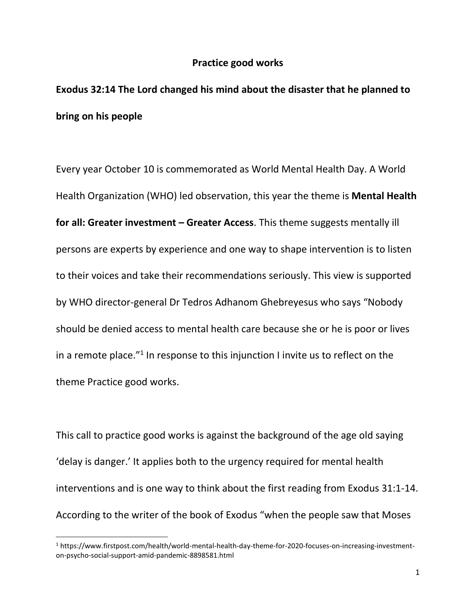## **Practice good works**

## **Exodus 32:14 The Lord changed his mind about the disaster that he planned to bring on his people**

Every year October 10 is commemorated as World Mental Health Day. A World Health Organization (WHO) led observation, this year the theme is **Mental Health for all: Greater investment – Greater Access**. This theme suggests mentally ill persons are experts by experience and one way to shape intervention is to listen to their voices and take their recommendations seriously. This view is supported by WHO director-general Dr Tedros Adhanom Ghebreyesus who says "Nobody should be denied access to mental health care because she or he is poor or lives in a remote place."<sup>1</sup> In response to this injunction I invite us to reflect on the theme Practice good works.

This call to practice good works is against the background of the age old saying 'delay is danger.' It applies both to the urgency required for mental health interventions and is one way to think about the first reading from Exodus 31:1-14. According to the writer of the book of Exodus "when the people saw that Moses

<sup>1</sup> https://www.firstpost.com/health/world-mental-health-day-theme-for-2020-focuses-on-increasing-investmenton-psycho-social-support-amid-pandemic-8898581.html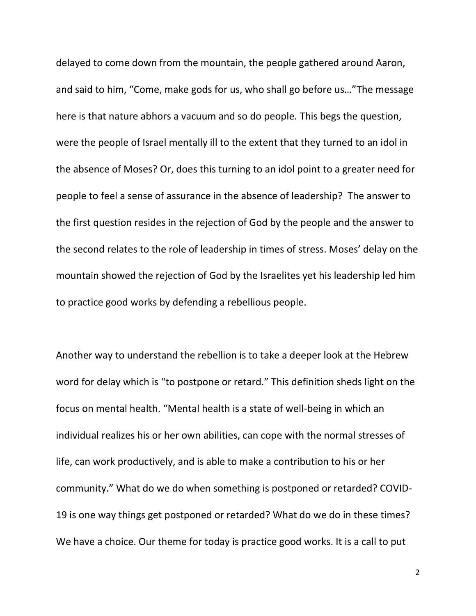delayed to come down from the mountain, the people gathered around Aaron, and said to him, "Come, make gods for us, who shall go before us…"The message here is that nature abhors a vacuum and so do people. This begs the question, were the people of Israel mentally ill to the extent that they turned to an idol in the absence of Moses? Or, does this turning to an idol point to a greater need for people to feel a sense of assurance in the absence of leadership? The answer to the first question resides in the rejection of God by the people and the answer to the second relates to the role of leadership in times of stress. Moses' delay on the mountain showed the rejection of God by the Israelites yet his leadership led him to practice good works by defending a rebellious people.

Another way to understand the rebellion is to take a deeper look at the Hebrew word for delay which is "to postpone or retard." This definition sheds light on the focus on mental health. "Mental health is a state of well-being in which an individual realizes his or her own abilities, can cope with the normal stresses of life, can work productively, and is able to make a contribution to his or her community." What do we do when something is postponed or retarded? COVID-19 is one way things get postponed or retarded? What do we do in these times? We have a choice. Our theme for today is practice good works. It is a call to put

2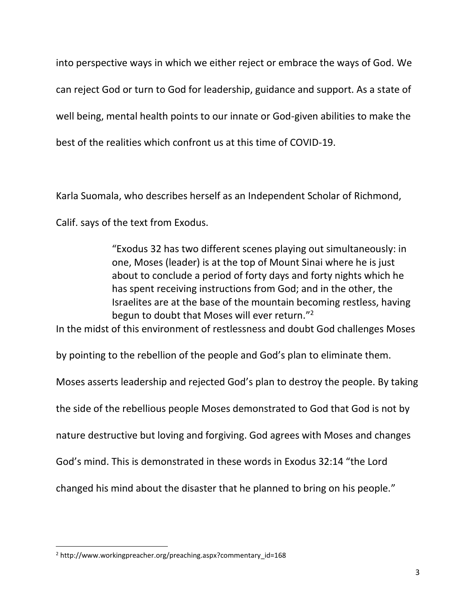into perspective ways in which we either reject or embrace the ways of God. We can reject God or turn to God for leadership, guidance and support. As a state of well being, mental health points to our innate or God-given abilities to make the best of the realities which confront us at this time of COVID-19.

[Karla Suomala,](http://www.workingpreacher.org/profile/default.aspx?uid=2-suomala_karla) who describes herself as an Independent Scholar of Richmond,

Calif. says of the text from Exodus.

"Exodus 32 has two different scenes playing out simultaneously: in one, Moses (leader) is at the top of Mount Sinai where he is just about to conclude a period of forty days and forty nights which he has spent receiving instructions from God; and in the other, the Israelites are at the base of the mountain becoming restless, having begun to doubt that Moses will ever return."<sup>2</sup>

In the midst of this environment of restlessness and doubt God challenges Moses

by pointing to the rebellion of the people and God's plan to eliminate them.

Moses asserts leadership and rejected God's plan to destroy the people. By taking

the side of the rebellious people Moses demonstrated to God that God is not by

nature destructive but loving and forgiving. God agrees with Moses and changes

God's mind. This is demonstrated in these words in Exodus 32:14 "the Lord

changed his mind about the disaster that he planned to bring on his people."

<sup>2</sup> http://www.workingpreacher.org/preaching.aspx?commentary\_id=168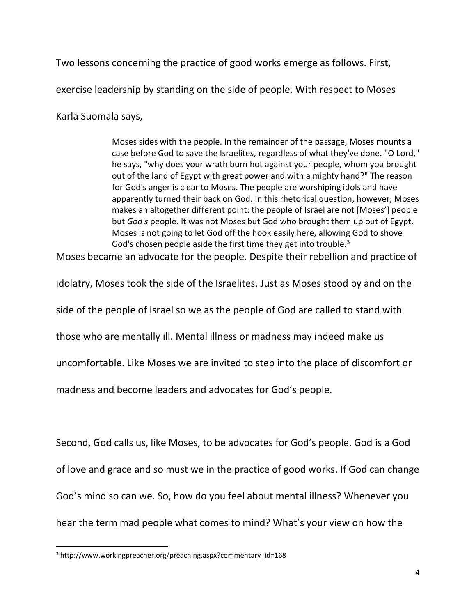Two lessons concerning the practice of good works emerge as follows. First,

exercise leadership by standing on the side of people. With respect to Moses

[Karla Suomala](http://www.workingpreacher.org/profile/default.aspx?uid=2-suomala_karla) says,

Moses sides with the people. In the remainder of the passage, Moses mounts a case before God to save the Israelites, regardless of what they've done. "O Lord," he says, "why does your wrath burn hot against your people, whom you brought out of the land of Egypt with great power and with a mighty hand?" The reason for God's anger is clear to Moses. The people are worshiping idols and have apparently turned their back on God. In this rhetorical question, however, Moses makes an altogether different point: the people of Israel are not [Moses'] people but *God's* people. It was not Moses but God who brought them up out of Egypt. Moses is not going to let God off the hook easily here, allowing God to shove God's chosen people aside the first time they get into trouble.<sup>3</sup>

Moses became an advocate for the people. Despite their rebellion and practice of

idolatry, Moses took the side of the Israelites. Just as Moses stood by and on the

side of the people of Israel so we as the people of God are called to stand with

those who are mentally ill. Mental illness or madness may indeed make us

uncomfortable. Like Moses we are invited to step into the place of discomfort or

madness and become leaders and advocates for God's people.

Second, God calls us, like Moses, to be advocates for God's people. God is a God of love and grace and so must we in the practice of good works. If God can change God's mind so can we. So, how do you feel about mental illness? Whenever you hear the term mad people what comes to mind? What's your view on how the

<sup>3</sup> http://www.workingpreacher.org/preaching.aspx?commentary\_id=168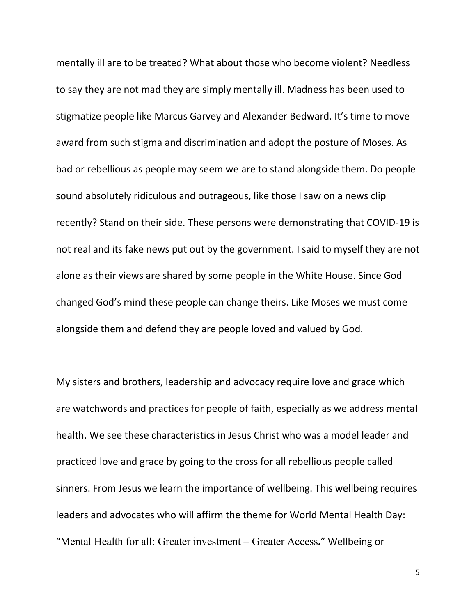mentally ill are to be treated? What about those who become violent? Needless to say they are not mad they are simply mentally ill. Madness has been used to stigmatize people like Marcus Garvey and Alexander Bedward. It's time to move award from such stigma and discrimination and adopt the posture of Moses. As bad or rebellious as people may seem we are to stand alongside them. Do people sound absolutely ridiculous and outrageous, like those I saw on a news clip recently? Stand on their side. These persons were demonstrating that COVID-19 is not real and its fake news put out by the government. I said to myself they are not alone as their views are shared by some people in the White House. Since God changed God's mind these people can change theirs. Like Moses we must come alongside them and defend they are people loved and valued by God.

My sisters and brothers, leadership and advocacy require love and grace which are watchwords and practices for people of faith, especially as we address mental health. We see these characteristics in Jesus Christ who was a model leader and practiced love and grace by going to the cross for all rebellious people called sinners. From Jesus we learn the importance of wellbeing. This wellbeing requires leaders and advocates who will affirm the theme for World Mental Health Day: "Mental Health for all: Greater investment – Greater Access**.**" Wellbeing or

5